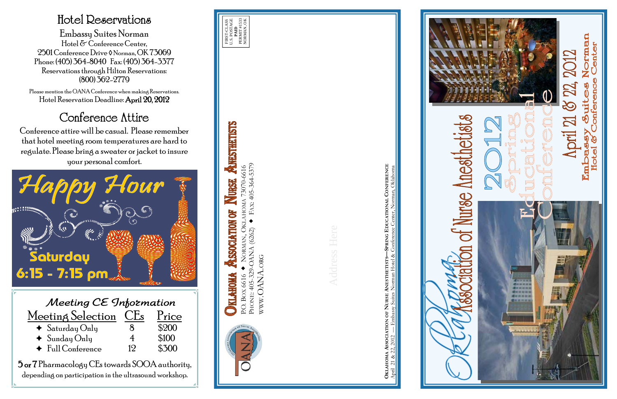

depending on participation in the ultrasound workshop.

### Hotel Reservations

Embassy Suites Norman Hotel & Conference Center, 2501 Conference Drive ◊ Norman, OK 73069 Phone: (405) 364-8040 Fax: (405) 364-3377 Reservations through Hilton Reservations: (800) 362-2779

Please mention the OANA Conference when making Reservations. Hotel Reservation Deadline: April 20, 2012

## Conference Attire

Conference attire will be casual. Please remember that hotel meeting room temperatures are hard to regulate. Please bring a sweater or jacket to insure your personal comfort.

P.O. BOX 6616 NORMAN, OKLAHOMA 73070-6616 PHONE: 405-329-OANA (6262) FAX: 405-364-5379

 $(6262)$ 

PHONE: 405-329-OANA

P.O. BOX 6616

**NO** 

**AHOMA** 

HOMA 73070-6616<br>FAX: 405-364-5379

WWW.OANA.ORG

WWW.OANA.ORG



**OKLAHOMA ASSOCIATION OF NURSE ANESTHETISTS—SPRING EDUCATIONAL CONFERENCE** April 21 & 22, 2012 — Embassy Suites Norman Hotel & Conference Center, Norman, Oklahoma





**ANESTHETISTS** 

NURSE

Š

SSOCIATION

**KLAHOMA**